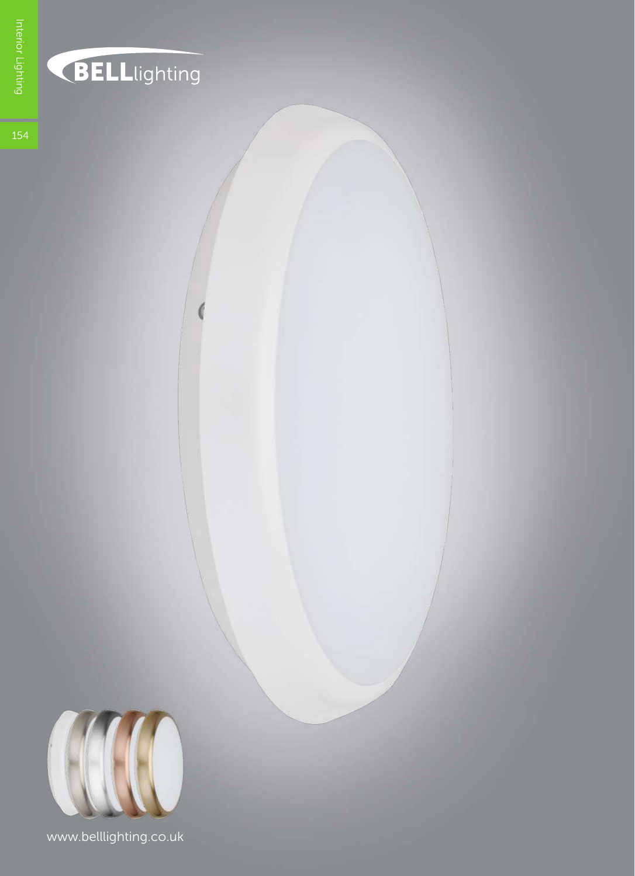



www.belllighting.co.uk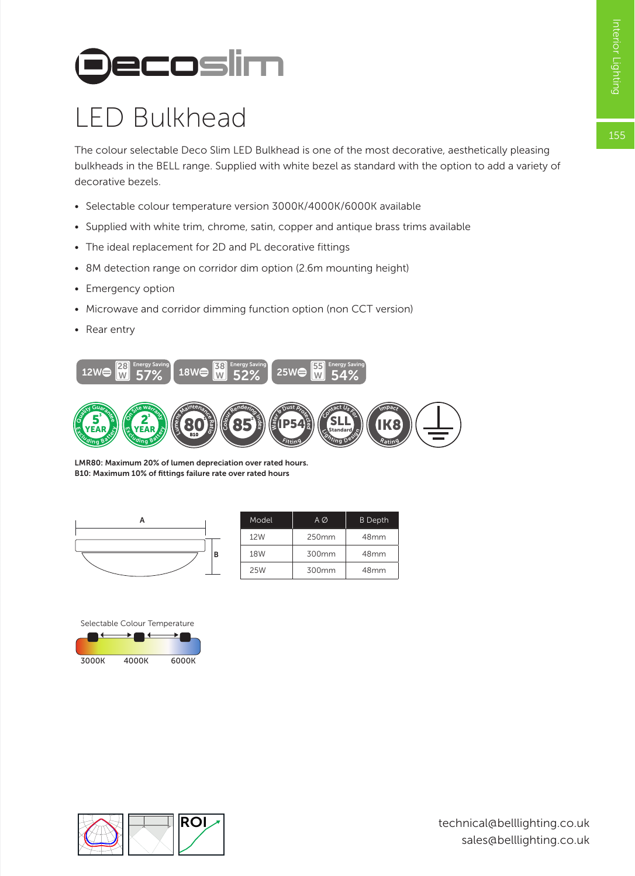155

# **Decoslim**

## LED Bulkhead

The colour selectable Deco Slim LED Bulkhead is one of the most decorative, aesthetically pleasing bulkheads in the BELL range. Supplied with white bezel as standard with the option to add a variety of decorative bezels.

- Selectable colour temperature version 3000K/4000K/6000K available
- Supplied with white trim, chrome, satin, copper and antique brass trims available
- The ideal replacement for 2D and PL decorative fittings
- 8M detection range on corridor dim option (2.6m mounting height)
- Emergency option
- Microwave and corridor dimming function option (non CCT version)
- Rear entry



LMR80: Maximum 20% of lumen depreciation over rated hours. B10: Maximum 10% of fittings failure rate over rated hours



|  | Model      | AØ    | <b>B</b> Depth |
|--|------------|-------|----------------|
|  | 12W        | 250mm | 48mm           |
|  | <b>18W</b> | 300mm | 48mm           |
|  | 25W        | 300mm | 48mm           |

Selectable Colour Temperature



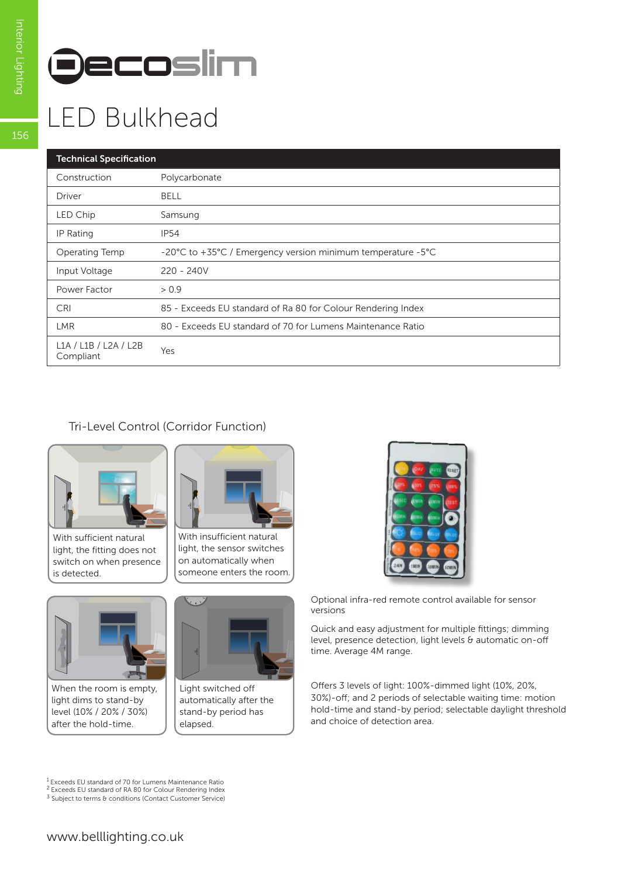

## LED Bulkhead

### Technical Specification

| rechnical specification            |                                                              |  |  |  |  |
|------------------------------------|--------------------------------------------------------------|--|--|--|--|
| Construction                       | Polycarbonate                                                |  |  |  |  |
| <b>Driver</b>                      | <b>BELL</b>                                                  |  |  |  |  |
| LED Chip                           | Samsung                                                      |  |  |  |  |
| IP Rating                          | <b>IP54</b>                                                  |  |  |  |  |
| Operating Temp                     | -20°C to +35°C / Emergency version minimum temperature -5°C  |  |  |  |  |
| Input Voltage                      | $220 - 240V$                                                 |  |  |  |  |
| Power Factor                       | > 0.9                                                        |  |  |  |  |
| <b>CRI</b>                         | 85 - Exceeds EU standard of Ra 80 for Colour Rendering Index |  |  |  |  |
| <b>LMR</b>                         | 80 - Exceeds EU standard of 70 for Lumens Maintenance Ratio  |  |  |  |  |
| L1A / L1B / L2A / L2B<br>Compliant | Yes                                                          |  |  |  |  |

### Tri-Level Control (Corridor Function)



With sufficient natural light, the fitting does not switch on when presence is detected.



light, the sensor switches on automatically when someone enters the room.



When the room is empty, light dims to stand-by level (10% / 20% / 30%) after the hold-time.



Light switched off automatically after the stand-by period has elapsed.



Optional infra-red remote control available for sensor versions

Quick and easy adjustment for multiple fittings; dimming level, presence detection, light levels & automatic on-off time. Average 4M range.

Offers 3 levels of light: 100%-dimmed light (10%, 20%, 30%)-off; and 2 periods of selectable waiting time: motion hold-time and stand-by period; selectable daylight threshold and choice of detection area.

1 Exceeds EU standard of 70 for Lumens Maintenance Ratio

2 Exceeds EU standard of RA 80 for Colour Rendering Index <sup>3</sup> Subject to terms & conditions (Contact Customer Service)

156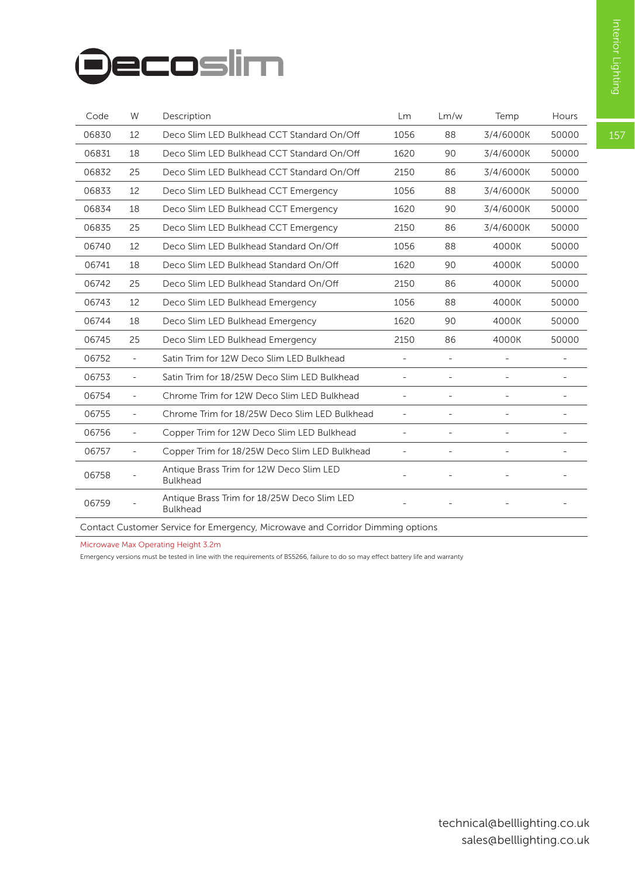# **Decoslim**

| Code  | W                        | Description                                                    | Lm   | Lm/w | Temp      | Hours |
|-------|--------------------------|----------------------------------------------------------------|------|------|-----------|-------|
| 06830 | 12                       | Deco Slim LED Bulkhead CCT Standard On/Off                     | 1056 | 88   | 3/4/6000K | 50000 |
| 06831 | 18                       | Deco Slim LED Bulkhead CCT Standard On/Off                     | 1620 | 90   | 3/4/6000K | 50000 |
| 06832 | 25                       | Deco Slim LED Bulkhead CCT Standard On/Off                     | 2150 | 86   | 3/4/6000K | 50000 |
| 06833 | 12                       | Deco Slim LED Bulkhead CCT Emergency                           | 1056 | 88   | 3/4/6000K | 50000 |
| 06834 | 18                       | Deco Slim LED Bulkhead CCT Emergency                           | 1620 | 90   | 3/4/6000K | 50000 |
| 06835 | 25                       | Deco Slim LED Bulkhead CCT Emergency                           | 2150 | 86   | 3/4/6000K | 50000 |
| 06740 | 12                       | Deco Slim LED Bulkhead Standard On/Off                         | 1056 | 88   | 4000K     | 50000 |
| 06741 | 18                       | Deco Slim LED Bulkhead Standard On/Off                         | 1620 | 90   | 4000K     | 50000 |
| 06742 | 25                       | Deco Slim LED Bulkhead Standard On/Off                         | 2150 | 86   | 4000K     | 50000 |
| 06743 | 12                       | Deco Slim LED Bulkhead Emergency                               | 1056 | 88   | 4000K     | 50000 |
| 06744 | 18                       | Deco Slim LED Bulkhead Emergency                               | 1620 | 90   | 4000K     | 50000 |
| 06745 | 25                       | Deco Slim LED Bulkhead Emergency                               | 2150 | 86   | 4000K     | 50000 |
| 06752 | $\overline{\phantom{0}}$ | Satin Trim for 12W Deco Slim LED Bulkhead                      |      |      |           |       |
| 06753 | $\overline{\phantom{a}}$ | Satin Trim for 18/25W Deco Slim LED Bulkhead                   |      |      |           |       |
| 06754 | $\overline{\phantom{a}}$ | Chrome Trim for 12W Deco Slim LED Bulkhead                     |      |      |           |       |
| 06755 | $\overline{\phantom{a}}$ | Chrome Trim for 18/25W Deco Slim LED Bulkhead                  | ÷,   |      |           |       |
| 06756 | $\sim$                   | Copper Trim for 12W Deco Slim LED Bulkhead                     |      |      |           |       |
| 06757 | $\overline{\phantom{0}}$ | Copper Trim for 18/25W Deco Slim LED Bulkhead                  |      |      |           | ÷,    |
| 06758 |                          | Antique Brass Trim for 12W Deco Slim LED<br><b>Bulkhead</b>    |      |      |           |       |
| 06759 |                          | Antique Brass Trim for 18/25W Deco Slim LED<br><b>Bulkhead</b> |      |      |           |       |

Contact Customer Service for Emergency, Microwave and Corridor Dimming options

Microwave Max Operating Height 3.2m

Emergency versions must be tested in line with the requirements of BS5266, failure to do so may effect battery life and warranty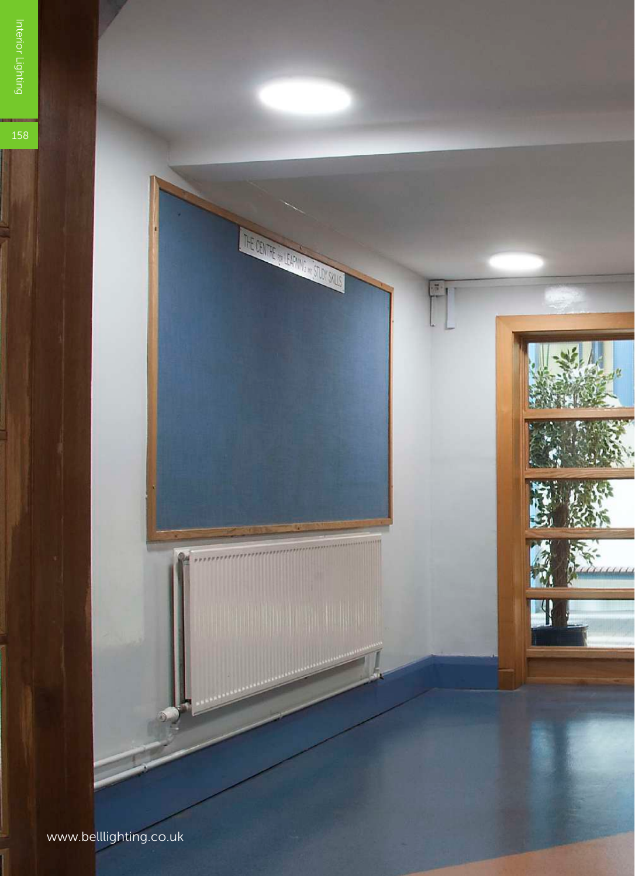